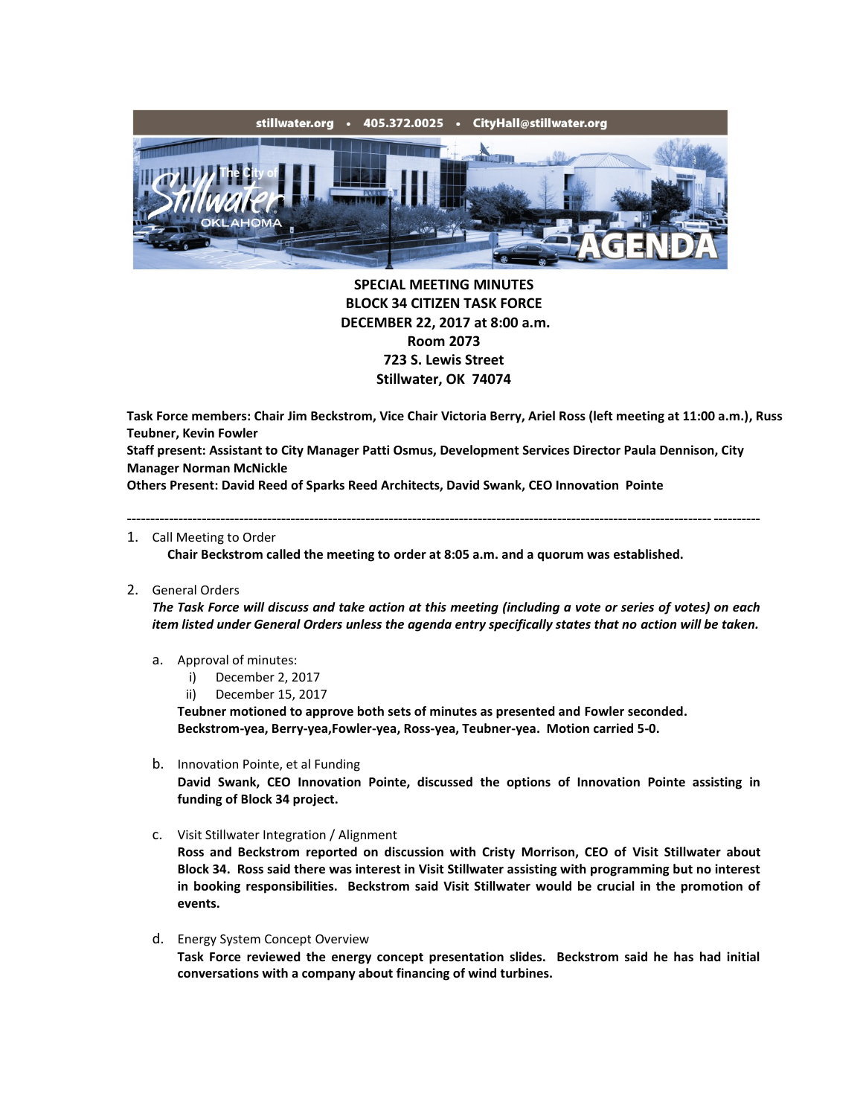

**SPECIAL MEETING MINUTES BLOCK 34 CITIZEN TASK FORCE DECEMBER 22, 2017 at 8:00 a.m. Room 2073 723 S. Lewis Street Stillwater, OK 74074**

**Task Force members: Chair Jim Beckstrom, Vice Chair Victoria Berry, Ariel Ross (left meeting at 11:00 a.m.), Russ Teubner, Kevin Fowler**

**Staff present: Assistant to City Manager Patti Osmus, Development Services Director Paula Dennison, City Manager Norman McNickle**

---------------------------------------------------------------------------------------------------------------------------------------

**Others Present: David Reed of Sparks Reed Architects, David Swank, CEO Innovation Pointe**

1. Call Meeting to Order

**Chair Beckstrom called the meeting to order at 8:05 a.m. and a quorum was established.**

2. General Orders

*The Task Force will discuss and take action at this meeting (including a vote or series of votes) on each item listed under General Orders unless the agenda entry specifically states that no action will be taken.*

- a. Approval of minutes:
	- i) December 2, 2017
	- ii) December 15, 2017

**Teubner motioned to approve both sets of minutes as presented and Fowler seconded. Beckstrom-yea, Berry-yea,Fowler-yea, Ross-yea, Teubner-yea. Motion carried 5-0.**

- b. Innovation Pointe, et al Funding **David Swank, CEO Innovation Pointe, discussed the options of Innovation Pointe assisting in funding of Block 34 project.**
- c. Visit Stillwater Integration / Alignment

**Ross and Beckstrom reported on discussion with Cristy Morrison, CEO of Visit Stillwater about Block 34. Ross said there was interest in Visit Stillwater assisting with programming but no interest in booking responsibilities. Beckstrom said Visit Stillwater would be crucial in the promotion of events.**

d. Energy System Concept Overview **Task Force reviewed the energy concept presentation slides. Beckstrom said he has had initial conversations with a company about financing of wind turbines.**